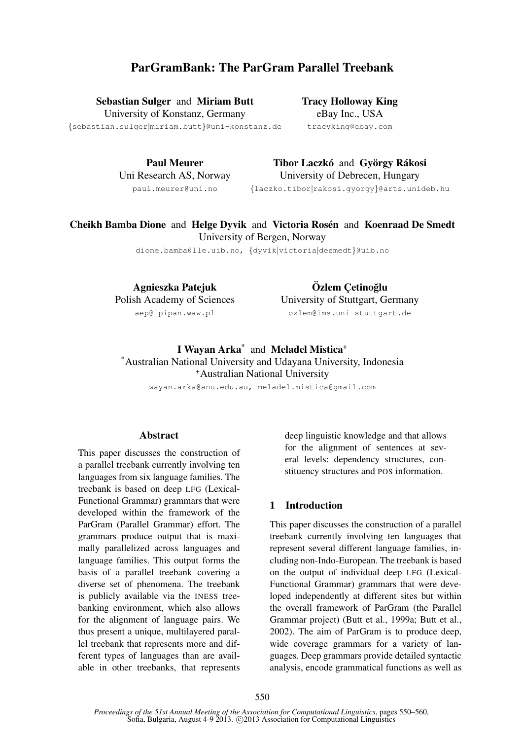# ParGramBank: The ParGram Parallel Treebank

Sebastian Sulger and Miriam Butt

University of Konstanz, Germany

{sebastian.sulger|miriam.butt}@uni-konstanz.de

Tracy Holloway King eBay Inc., USA tracyking@ebay.com

Paul Meurer Uni Research AS, Norway paul.meurer@uni.no

Tibor Laczkó and György Rákosi University of Debrecen, Hungary {laczko.tibor|rakosi.gyorgy}@arts.unideb.hu

# Cheikh Bamba Dione and Helge Dyvik and Victoria Rosén and Koenraad De Smedt University of Bergen, Norway

dione.bamba@lle.uib.no, {dyvik|victoria|desmedt}@uib.no

Agnieszka Patejuk Polish Academy of Sciences aep@ipipan.waw.pl

Özlem Cetinoğlu University of Stuttgart, Germany ozlem@ims.uni-stuttgart.de

I Wayan Arka<sup>\*</sup> and Meladel Mistica<sup>+</sup> \*Australian National University and Udayana University, Indonesia <sup>+</sup>Australian National University

wayan.arka@anu.edu.au, meladel.mistica@gmail.com

## Abstract

This paper discusses the construction of a parallel treebank currently involving ten languages from six language families. The treebank is based on deep LFG (Lexical-Functional Grammar) grammars that were developed within the framework of the ParGram (Parallel Grammar) effort. The grammars produce output that is maximally parallelized across languages and language families. This output forms the basis of a parallel treebank covering a diverse set of phenomena. The treebank is publicly available via the INESS treebanking environment, which also allows for the alignment of language pairs. We thus present a unique, multilayered parallel treebank that represents more and different types of languages than are available in other treebanks, that represents deep linguistic knowledge and that allows for the alignment of sentences at several levels: dependency structures, constituency structures and POS information.

### 1 Introduction

This paper discusses the construction of a parallel treebank currently involving ten languages that represent several different language families, including non-Indo-European. The treebank is based on the output of individual deep LFG (Lexical-Functional Grammar) grammars that were developed independently at different sites but within the overall framework of ParGram (the Parallel Grammar project) (Butt et al., 1999a; Butt et al., 2002). The aim of ParGram is to produce deep, wide coverage grammars for a variety of languages. Deep grammars provide detailed syntactic analysis, encode grammatical functions as well as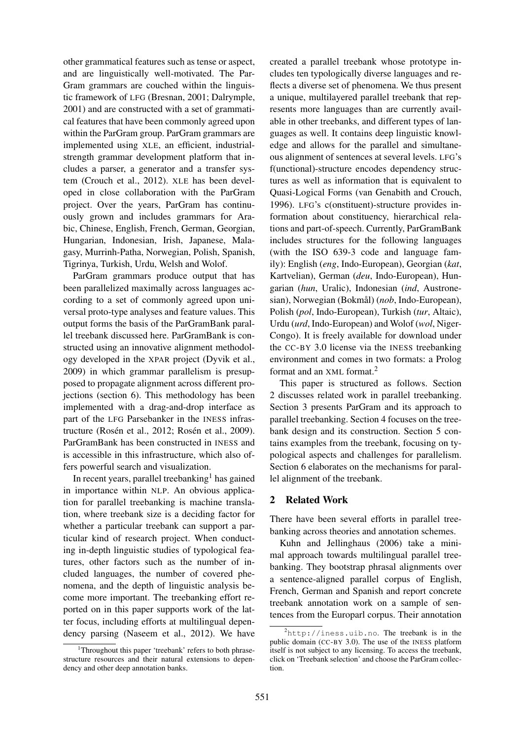other grammatical features such as tense or aspect, and are linguistically well-motivated. The Par-Gram grammars are couched within the linguistic framework of LFG (Bresnan, 2001; Dalrymple, 2001) and are constructed with a set of grammatical features that have been commonly agreed upon within the ParGram group. ParGram grammars are implemented using XLE, an efficient, industrialstrength grammar development platform that includes a parser, a generator and a transfer system (Crouch et al., 2012). XLE has been developed in close collaboration with the ParGram project. Over the years, ParGram has continuously grown and includes grammars for Arabic, Chinese, English, French, German, Georgian, Hungarian, Indonesian, Irish, Japanese, Malagasy, Murrinh-Patha, Norwegian, Polish, Spanish, Tigrinya, Turkish, Urdu, Welsh and Wolof.

ParGram grammars produce output that has been parallelized maximally across languages according to a set of commonly agreed upon universal proto-type analyses and feature values. This output forms the basis of the ParGramBank parallel treebank discussed here. ParGramBank is constructed using an innovative alignment methodology developed in the XPAR project (Dyvik et al., 2009) in which grammar parallelism is presupposed to propagate alignment across different projections (section 6). This methodology has been implemented with a drag-and-drop interface as part of the LFG Parsebanker in the INESS infrastructure (Rosén et al., 2012; Rosén et al., 2009). ParGramBank has been constructed in INESS and is accessible in this infrastructure, which also offers powerful search and visualization.

In recent years, parallel treebanking<sup>1</sup> has gained in importance within NLP. An obvious application for parallel treebanking is machine translation, where treebank size is a deciding factor for whether a particular treebank can support a particular kind of research project. When conducting in-depth linguistic studies of typological features, other factors such as the number of included languages, the number of covered phenomena, and the depth of linguistic analysis become more important. The treebanking effort reported on in this paper supports work of the latter focus, including efforts at multilingual dependency parsing (Naseem et al., 2012). We have

created a parallel treebank whose prototype includes ten typologically diverse languages and reflects a diverse set of phenomena. We thus present a unique, multilayered parallel treebank that represents more languages than are currently available in other treebanks, and different types of languages as well. It contains deep linguistic knowledge and allows for the parallel and simultaneous alignment of sentences at several levels. LFG's f(unctional)-structure encodes dependency structures as well as information that is equivalent to Quasi-Logical Forms (van Genabith and Crouch, 1996). LFG's c(onstituent)-structure provides information about constituency, hierarchical relations and part-of-speech. Currently, ParGramBank includes structures for the following languages (with the ISO 639-3 code and language family): English (*eng*, Indo-European), Georgian (*kat*, Kartvelian), German (*deu*, Indo-European), Hungarian (*hun*, Uralic), Indonesian (*ind*, Austronesian), Norwegian (Bokmål) (nob, Indo-European), Polish (*pol*, Indo-European), Turkish (*tur*, Altaic), Urdu (*urd*, Indo-European) and Wolof (*wol*, Niger-Congo). It is freely available for download under the CC-BY 3.0 license via the INESS treebanking environment and comes in two formats: a Prolog format and an XML format.<sup>2</sup>

This paper is structured as follows. Section 2 discusses related work in parallel treebanking. Section 3 presents ParGram and its approach to parallel treebanking. Section 4 focuses on the treebank design and its construction. Section 5 contains examples from the treebank, focusing on typological aspects and challenges for parallelism. Section 6 elaborates on the mechanisms for parallel alignment of the treebank.

# 2 Related Work

There have been several efforts in parallel treebanking across theories and annotation schemes.

Kuhn and Jellinghaus (2006) take a minimal approach towards multilingual parallel treebanking. They bootstrap phrasal alignments over a sentence-aligned parallel corpus of English, French, German and Spanish and report concrete treebank annotation work on a sample of sentences from the Europarl corpus. Their annotation

<sup>&</sup>lt;sup>1</sup>Throughout this paper 'treebank' refers to both phrasestructure resources and their natural extensions to dependency and other deep annotation banks.

<sup>2</sup>http://iness.uib.no. The treebank is in the public domain (CC-BY 3.0). The use of the INESS platform itself is not subject to any licensing. To access the treebank, click on 'Treebank selection' and choose the ParGram collection.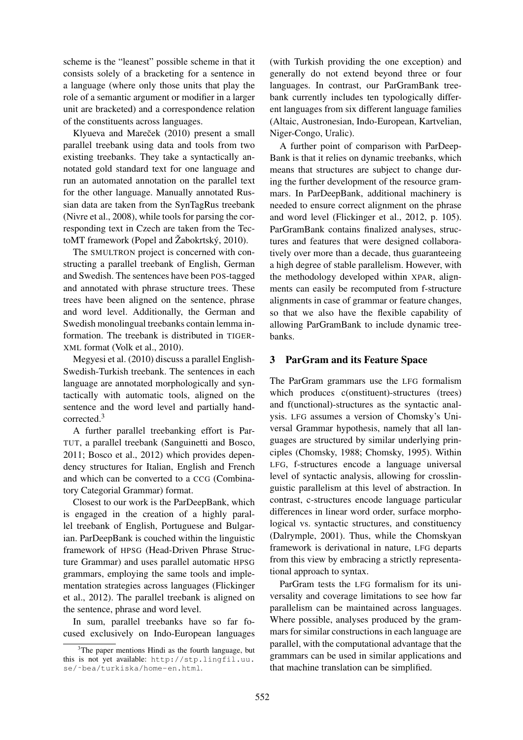scheme is the "leanest" possible scheme in that it consists solely of a bracketing for a sentence in a language (where only those units that play the role of a semantic argument or modifier in a larger unit are bracketed) and a correspondence relation of the constituents across languages.

Klyueva and Mareček (2010) present a small parallel treebank using data and tools from two existing treebanks. They take a syntactically annotated gold standard text for one language and run an automated annotation on the parallel text for the other language. Manually annotated Russian data are taken from the SynTagRus treebank (Nivre et al., 2008), while tools for parsing the corresponding text in Czech are taken from the TectoMT framework (Popel and  $\check{Z}$ abokrtský, 2010).

The SMULTRON project is concerned with constructing a parallel treebank of English, German and Swedish. The sentences have been POS-tagged and annotated with phrase structure trees. These trees have been aligned on the sentence, phrase and word level. Additionally, the German and Swedish monolingual treebanks contain lemma information. The treebank is distributed in TIGER-XML format (Volk et al., 2010).

Megyesi et al. (2010) discuss a parallel English-Swedish-Turkish treebank. The sentences in each language are annotated morphologically and syntactically with automatic tools, aligned on the sentence and the word level and partially handcorrected.<sup>3</sup>

A further parallel treebanking effort is Par-TUT, a parallel treebank (Sanguinetti and Bosco, 2011; Bosco et al., 2012) which provides dependency structures for Italian, English and French and which can be converted to a CCG (Combinatory Categorial Grammar) format.

Closest to our work is the ParDeepBank, which is engaged in the creation of a highly parallel treebank of English, Portuguese and Bulgarian. ParDeepBank is couched within the linguistic framework of HPSG (Head-Driven Phrase Structure Grammar) and uses parallel automatic HPSG grammars, employing the same tools and implementation strategies across languages (Flickinger et al., 2012). The parallel treebank is aligned on the sentence, phrase and word level.

In sum, parallel treebanks have so far focused exclusively on Indo-European languages

(with Turkish providing the one exception) and generally do not extend beyond three or four languages. In contrast, our ParGramBank treebank currently includes ten typologically different languages from six different language families (Altaic, Austronesian, Indo-European, Kartvelian, Niger-Congo, Uralic).

A further point of comparison with ParDeep-Bank is that it relies on dynamic treebanks, which means that structures are subject to change during the further development of the resource grammars. In ParDeepBank, additional machinery is needed to ensure correct alignment on the phrase and word level (Flickinger et al., 2012, p. 105). ParGramBank contains finalized analyses, structures and features that were designed collaboratively over more than a decade, thus guaranteeing a high degree of stable parallelism. However, with the methodology developed within XPAR, alignments can easily be recomputed from f-structure alignments in case of grammar or feature changes, so that we also have the flexible capability of allowing ParGramBank to include dynamic treebanks.

# 3 ParGram and its Feature Space

The ParGram grammars use the LFG formalism which produces c(onstituent)-structures (trees) and f(unctional)-structures as the syntactic analysis. LFG assumes a version of Chomsky's Universal Grammar hypothesis, namely that all languages are structured by similar underlying principles (Chomsky, 1988; Chomsky, 1995). Within LFG, f-structures encode a language universal level of syntactic analysis, allowing for crosslinguistic parallelism at this level of abstraction. In contrast, c-structures encode language particular differences in linear word order, surface morphological vs. syntactic structures, and constituency (Dalrymple, 2001). Thus, while the Chomskyan framework is derivational in nature, LFG departs from this view by embracing a strictly representational approach to syntax.

ParGram tests the LFG formalism for its universality and coverage limitations to see how far parallelism can be maintained across languages. Where possible, analyses produced by the grammars for similar constructions in each language are parallel, with the computational advantage that the grammars can be used in similar applications and that machine translation can be simplified.

 $3$ The paper mentions Hindi as the fourth language, but this is not yet available: http://stp.lingfil.uu. se/˜bea/turkiska/home-en.html.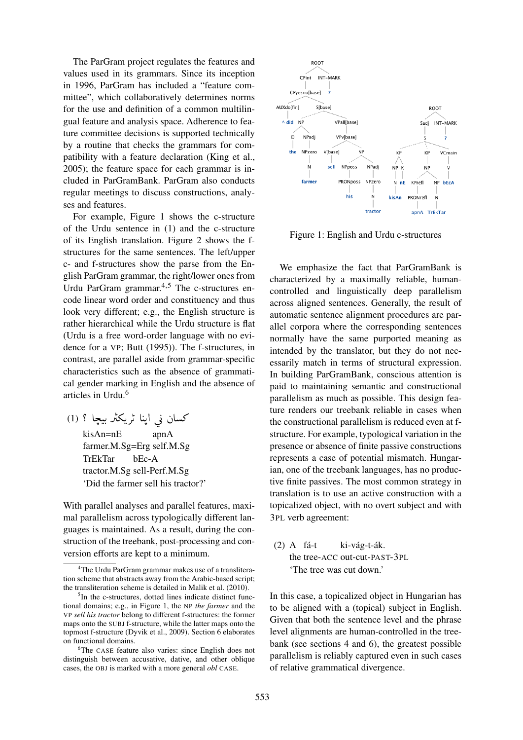The ParGram project regulates the features and values used in its grammars. Since its inception in 1996, ParGram has included a "feature committee", which collaboratively determines norms for the use and definition of a common multilingual feature and analysis space. Adherence to feature committee decisions is supported technically by a routine that checks the grammars for compatibility with a feature declaration (King et al., 2005); the feature space for each grammar is included in ParGramBank. ParGram also conducts regular meetings to discuss constructions, analyses and features.

For example, Figure 1 shows the c-structure of the Urdu sentence in (1) and the c-structure of its English translation. Figure 2 shows the fstructures for the same sentences. The left/upper c- and f-structures show the parse from the English ParGram grammar, the right/lower ones from Urdu ParGram grammar.4,5 The c-structures encode linear word order and constituency and thus look very different; e.g., the English structure is rather hierarchical while the Urdu structure is flat (Urdu is a free word-order language with no evidence for a VP; Butt (1995)). The f-structures, in contrast, are parallel aside from grammar-specific characteristics such as the absence of grammatical gender marking in English and the absence of articles in Urdu.<sup>6</sup>

۔<br>کسان نی اپنا ٹریکٹر بیچا ؟ (1) J  $\ddot{\cdot}$ .<br>ر . l<br>d .<br>پ ֦֧֦֧֦֧֦֧֦֧֦֧֦֧֦֧֦֦֧֦֧֦֧֜֜֜֜֜<br>֧ <u>،</u>  $\overline{a}$  $\overline{a}$ .<br>ذ ֦ kisAn=nE apnA farmer.M.Sg=Erg self.M.Sg TrEkTar bEc-A tractor.M.Sg sell-Perf.M.Sg 'Did the farmer sell his tractor?'

With parallel analyses and parallel features, maximal parallelism across typologically different languages is maintained. As a result, during the construction of the treebank, post-processing and conversion efforts are kept to a minimum.



Figure 1: English and Urdu c-structures

We emphasize the fact that ParGramBank is characterized by a maximally reliable, humancontrolled and linguistically deep parallelism across aligned sentences. Generally, the result of automatic sentence alignment procedures are parallel corpora where the corresponding sentences normally have the same purported meaning as intended by the translator, but they do not necessarily match in terms of structural expression. In building ParGramBank, conscious attention is paid to maintaining semantic and constructional parallelism as much as possible. This design feature renders our treebank reliable in cases when the constructional parallelism is reduced even at fstructure. For example, typological variation in the presence or absence of finite passive constructions represents a case of potential mismatch. Hungarian, one of the treebank languages, has no productive finite passives. The most common strategy in translation is to use an active construction with a topicalized object, with no overt subject and with 3PL verb agreement:

 $(2)$  A fá-t ki-vág-t-ák. the tree-ACC out-cut-PAST-3PL 'The tree was cut down.'

In this case, a topicalized object in Hungarian has to be aligned with a (topical) subject in English. Given that both the sentence level and the phrase level alignments are human-controlled in the treebank (see sections 4 and 6), the greatest possible parallelism is reliably captured even in such cases of relative grammatical divergence.

<sup>&</sup>lt;sup>4</sup>The Urdu ParGram grammar makes use of a transliteration scheme that abstracts away from the Arabic-based script; the transliteration scheme is detailed in Malik et al. (2010).

<sup>&</sup>lt;sup>5</sup>In the c-structures, dotted lines indicate distinct functional domains; e.g., in Figure 1, the NP *the farmer* and the VP *sell his tractor* belong to different f-structures: the former maps onto the SUBJ f-structure, while the latter maps onto the topmost f-structure (Dyvik et al., 2009). Section 6 elaborates on functional domains.

<sup>6</sup>The CASE feature also varies: since English does not distinguish between accusative, dative, and other oblique cases, the OBJ is marked with a more general *obl* CASE.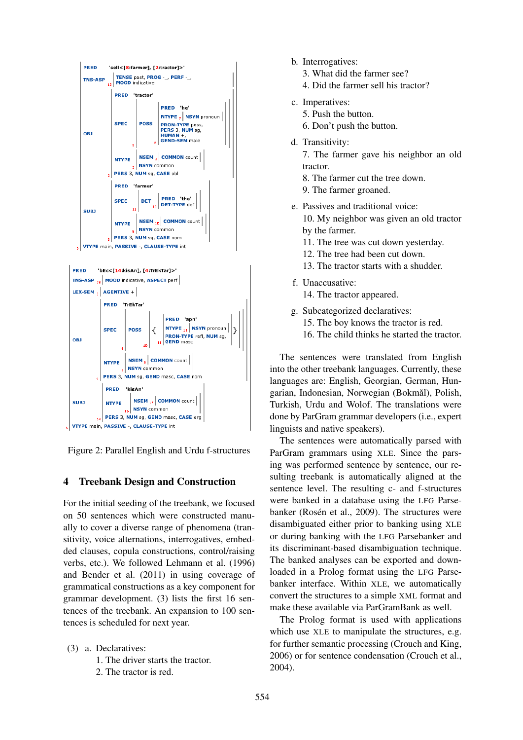

Figure 2: Parallel English and Urdu f-structures

# 4 Treebank Design and Construction

For the initial seeding of the treebank, we focused on 50 sentences which were constructed manually to cover a diverse range of phenomena (transitivity, voice alternations, interrogatives, embedded clauses, copula constructions, control/raising verbs, etc.). We followed Lehmann et al. (1996) and Bender et al. (2011) in using coverage of grammatical constructions as a key component for grammar development. (3) lists the first 16 sentences of the treebank. An expansion to 100 sentences is scheduled for next year.

- (3) a. Declaratives: 1. The driver starts the tractor.
	- 2. The tractor is red.
- b. Interrogatives:
	- 3. What did the farmer see?
	- 4. Did the farmer sell his tractor?
- c. Imperatives:
	- 5. Push the button.
	- 6. Don't push the button.
- d. Transitivity:
	- 7. The farmer gave his neighbor an old tractor.
	- 8. The farmer cut the tree down.
	- 9. The farmer groaned.
- e. Passives and traditional voice: 10. My neighbor was given an old tractor by the farmer.
	- 11. The tree was cut down yesterday.
	- 12. The tree had been cut down.
	- 13. The tractor starts with a shudder.
- f. Unaccusative:
	- 14. The tractor appeared.
- g. Subcategorized declaratives:
	- 15. The boy knows the tractor is red.
	- 16. The child thinks he started the tractor.

The sentences were translated from English into the other treebank languages. Currently, these languages are: English, Georgian, German, Hungarian, Indonesian, Norwegian (Bokmål), Polish, Turkish, Urdu and Wolof. The translations were done by ParGram grammar developers (i.e., expert linguists and native speakers).

The sentences were automatically parsed with ParGram grammars using XLE. Since the parsing was performed sentence by sentence, our resulting treebank is automatically aligned at the sentence level. The resulting c- and f-structures were banked in a database using the LFG Parsebanker (Rosén et al., 2009). The structures were disambiguated either prior to banking using XLE or during banking with the LFG Parsebanker and its discriminant-based disambiguation technique. The banked analyses can be exported and downloaded in a Prolog format using the LFG Parsebanker interface. Within XLE, we automatically convert the structures to a simple XML format and make these available via ParGramBank as well.

The Prolog format is used with applications which use XLE to manipulate the structures, e.g. for further semantic processing (Crouch and King, 2006) or for sentence condensation (Crouch et al., 2004).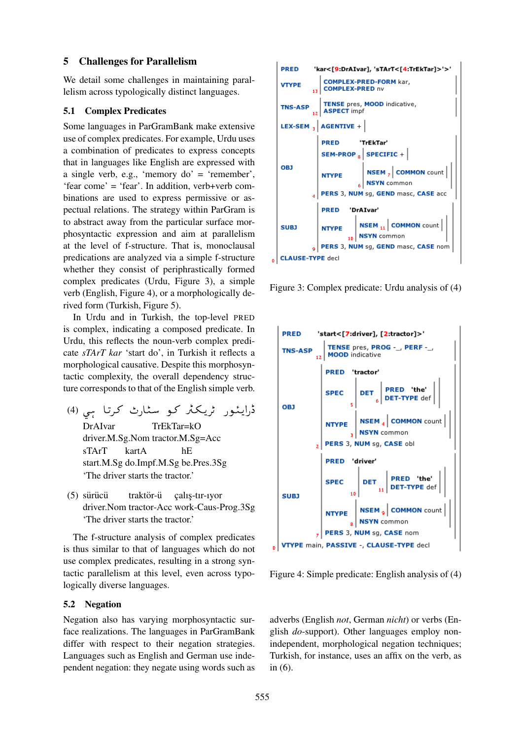#### 5 Challenges for Parallelism

We detail some challenges in maintaining parallelism across typologically distinct languages.

## 5.1 Complex Predicates

Some languages in ParGramBank make extensive use of complex predicates. For example, Urdu uses a combination of predicates to express concepts that in languages like English are expressed with a single verb, e.g., 'memory do' = 'remember', 'fear come' = 'fear'. In addition, verb+verb combinations are used to express permissive or aspectual relations. The strategy within ParGram is to abstract away from the particular surface morphosyntactic expression and aim at parallelism at the level of f-structure. That is, monoclausal predications are analyzed via a simple f-structure whether they consist of periphrastically formed complex predicates (Urdu, Figure 3), a simple verb (English, Figure 4), or a morphologically derived form (Turkish, Figure 5).

In Urdu and in Turkish, the top-level PRED is complex, indicating a composed predicate. In Urdu, this reflects the noun-verb complex predicate *sTArT kar* 'start do', in Turkish it reflects a morphological causative. Despite this morphosyntactic complexity, the overall dependency structure corresponds to that of the English simple verb.

- ۔<br>ڈرایئور ٹریکٹر *ک*و سٹارٹ کرتا ہی (4) ļ ï f A j. ֧֞ ر<br>پ l. e<br>S ֦֧֦֦֦֦֦֦֦֦֦֦֦֦֦֦֦֦֦֦֦֦֦֦֦֦֦֦֦֦ DrAIvar TrEkTar=kO driver.M.Sg.Nom tractor.M.Sg=Acc sTArT kartA hE start.M.Sg do.Impf.M.Sg be.Pres.3Sg 'The driver starts the tractor.'
- $(5)$  sürücü traktör-ü çalış-tır-ıyor driver.Nom tractor-Acc work-Caus-Prog.3Sg 'The driver starts the tractor.'

The f-structure analysis of complex predicates is thus similar to that of languages which do not use complex predicates, resulting in a strong syntactic parallelism at this level, even across typologically diverse languages.

#### 5.2 Negation

Negation also has varying morphosyntactic surface realizations. The languages in ParGramBank differ with respect to their negation strategies. Languages such as English and German use independent negation: they negate using words such as



Figure 3: Complex predicate: Urdu analysis of (4)



Figure 4: Simple predicate: English analysis of (4)

adverbs (English *not*, German *nicht*) or verbs (English *do*-support). Other languages employ nonindependent, morphological negation techniques; Turkish, for instance, uses an affix on the verb, as in (6).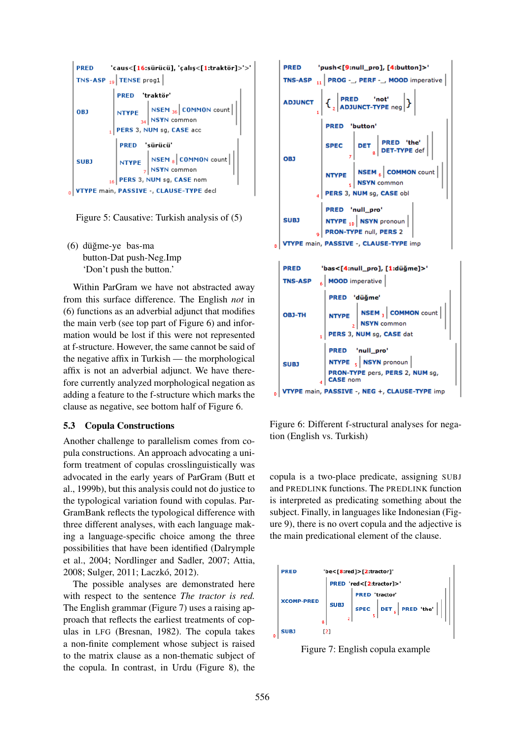

Figure 5: Causative: Turkish analysis of (5)

(6) düğme-ye bas-ma button-Dat push-Neg.Imp 'Don't push the button.'

Within ParGram we have not abstracted away from this surface difference. The English *not* in (6) functions as an adverbial adjunct that modifies the main verb (see top part of Figure 6) and information would be lost if this were not represented at f-structure. However, the same cannot be said of the negative affix in Turkish — the morphological affix is not an adverbial adjunct. We have therefore currently analyzed morphological negation as adding a feature to the f-structure which marks the clause as negative, see bottom half of Figure 6.

#### 5.3 Copula Constructions

Another challenge to parallelism comes from copula constructions. An approach advocating a uniform treatment of copulas crosslinguistically was advocated in the early years of ParGram (Butt et al., 1999b), but this analysis could not do justice to the typological variation found with copulas. Par-GramBank reflects the typological difference with three different analyses, with each language making a language-specific choice among the three possibilities that have been identified (Dalrymple et al., 2004; Nordlinger and Sadler, 2007; Attia, 2008; Sulger, 2011; Laczkó, 2012).

The possible analyses are demonstrated here with respect to the sentence *The tractor is red.* The English grammar (Figure 7) uses a raising approach that reflects the earliest treatments of copulas in LFG (Bresnan, 1982). The copula takes a non-finite complement whose subject is raised to the matrix clause as a non-thematic subject of the copula. In contrast, in Urdu (Figure 8), the



Figure 6: Different f-structural analyses for negation (English vs. Turkish)

copula is a two-place predicate, assigning SUBJ and PREDLINK functions. The PREDLINK function is interpreted as predicating something about the subject. Finally, in languages like Indonesian (Figure 9), there is no overt copula and the adjective is the main predicational element of the clause.



Figure 7: English copula example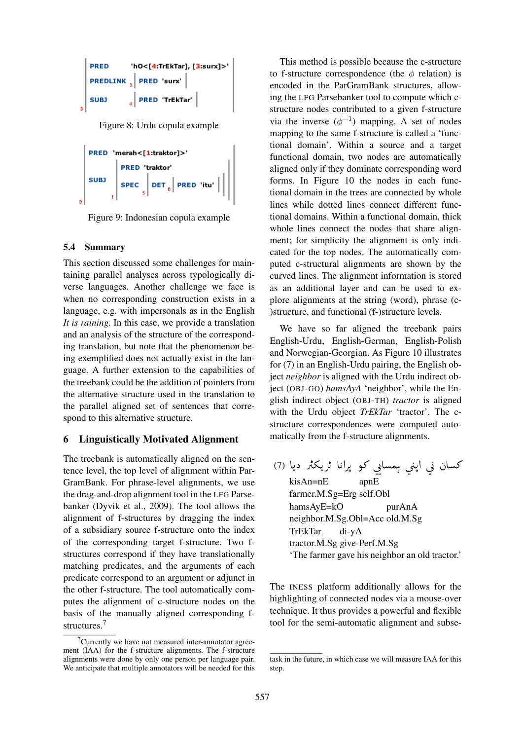|   | <b>PRED</b> | 'hO<[4:TrEkTar], [3:surx]>'  |  |
|---|-------------|------------------------------|--|
|   |             | PREDLINK   PRED 'surx'       |  |
| B | <b>SUBJ</b> | $\frac{1}{4}$ PRED 'TrEkTar' |  |

Figure 8: Urdu copula example

```
PRED 'merah<[1:traktor]>'
    PRED 'traktor'<br>SPEC \Big|\overline{\text{DET}}_6\Big|\overline{\text{PRED}} 'itu' \Big|\Big|
```
Figure 9: Indonesian copula example

# 5.4 Summary

This section discussed some challenges for maintaining parallel analyses across typologically diverse languages. Another challenge we face is when no corresponding construction exists in a language, e.g. with impersonals as in the English *It is raining.* In this case, we provide a translation and an analysis of the structure of the corresponding translation, but note that the phenomenon being exemplified does not actually exist in the language. A further extension to the capabilities of the treebank could be the addition of pointers from the alternative structure used in the translation to the parallel aligned set of sentences that correspond to this alternative structure.

# 6 Linguistically Motivated Alignment

The treebank is automatically aligned on the sentence level, the top level of alignment within Par-GramBank. For phrase-level alignments, we use the drag-and-drop alignment tool in the LFG Parsebanker (Dyvik et al., 2009). The tool allows the alignment of f-structures by dragging the index of a subsidiary source f-structure onto the index of the corresponding target f-structure. Two fstructures correspond if they have translationally matching predicates, and the arguments of each predicate correspond to an argument or adjunct in the other f-structure. The tool automatically computes the alignment of c-structure nodes on the basis of the manually aligned corresponding fstructures.<sup>7</sup>

This method is possible because the c-structure to f-structure correspondence (the  $\phi$  relation) is encoded in the ParGramBank structures, allowing the LFG Parsebanker tool to compute which cstructure nodes contributed to a given f-structure via the inverse  $(\phi^{-1})$  mapping. A set of nodes mapping to the same f-structure is called a 'functional domain'. Within a source and a target functional domain, two nodes are automatically aligned only if they dominate corresponding word forms. In Figure 10 the nodes in each functional domain in the trees are connected by whole lines while dotted lines connect different functional domains. Within a functional domain, thick whole lines connect the nodes that share alignment; for simplicity the alignment is only indicated for the top nodes. The automatically computed c-structural alignments are shown by the curved lines. The alignment information is stored as an additional layer and can be used to explore alignments at the string (word), phrase (c- )structure, and functional (f-)structure levels.

We have so far aligned the treebank pairs English-Urdu, English-German, English-Polish and Norwegian-Georgian. As Figure 10 illustrates for (7) in an English-Urdu pairing, the English object *neighbor* is aligned with the Urdu indirect object (OBJ-GO) *hamsAyA* 'neighbor', while the English indirect object (OBJ-TH) *tractor* is aligned with the Urdu object *TrEkTar* 'tractor'. The cstructure correspondences were computed automatically from the f-structure alignments.

کسان ني اپني <sub>ې</sub>مسايي کو پرانا ٹريکٹر ديا (7) ֦֧֦֦֦֦֦֦֦֦֦֦֦֦֦֦֦֦֦֦֦֦֦֦֦֦֦֦֦֦ l. ر<br>: ,  $\overline{\phantom{0}}$ ر<br>ر ړ f  $\overline{\phantom{0}}$  $\overline{a}$ ر<br>!  $\overline{\phantom{0}}$  $\overline{a}$ .<br>ذ  $\overline{a}$ kisAn=nE apnE farmer.M.Sg=Erg self.Obl hamsAyE=kO purAnA neighbor.M.Sg.Obl=Acc old.M.Sg TrEkTar di-yA tractor.M.Sg give-Perf.M.Sg 'The farmer gave his neighbor an old tractor.'

The INESS platform additionally allows for the highlighting of connected nodes via a mouse-over technique. It thus provides a powerful and flexible tool for the semi-automatic alignment and subse-

 ${}^{7}$ Currently we have not measured inter-annotator agreement (IAA) for the f-structure alignments. The f-structure alignments were done by only one person per language pair. We anticipate that multiple annotators will be needed for this

task in the future, in which case we will measure IAA for this step.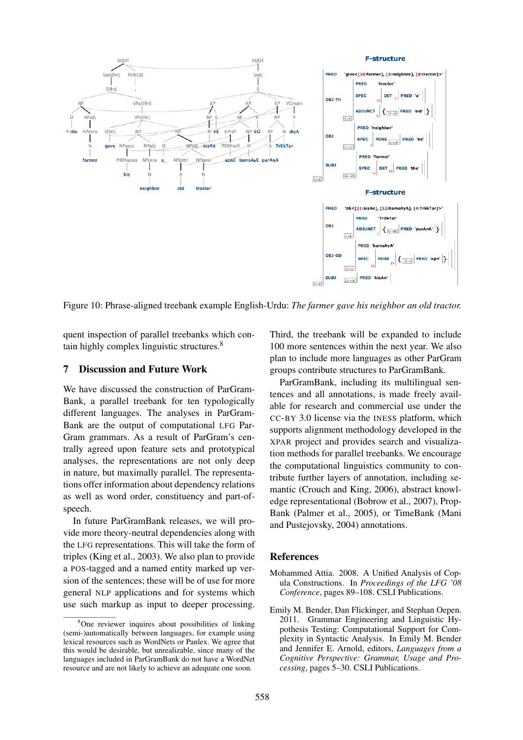

Figure 10: Phrase-aligned treebank example English-Urdu: *The farmer gave his neighbor an old tractor.*

quent inspection of parallel treebanks which contain highly complex linguistic structures.<sup>8</sup>

#### 7 Discussion and Future Work

We have discussed the construction of ParGram-Bank, a parallel treebank for ten typologically different languages. The analyses in ParGram-Bank are the output of computational LFG Par-Gram grammars. As a result of ParGram's centrally agreed upon feature sets and prototypical analyses, the representations are not only deep in nature, but maximally parallel. The representations offer information about dependency relations as well as word order, constituency and part-ofspeech.

In future ParGramBank releases, we will provide more theory-neutral dependencies along with the LFG representations. This will take the form of triples (King et al., 2003). We also plan to provide a POS-tagged and a named entity marked up version of the sentences; these will be of use for more general NLP applications and for systems which use such markup as input to deeper processing. Third, the treebank will be expanded to include 100 more sentences within the next year. We also plan to include more languages as other ParGram groups contribute structures to ParGramBank.

ParGramBank, including its multilingual sentences and all annotations, is made freely available for research and commercial use under the CC-BY 3.0 license via the INESS platform, which supports alignment methodology developed in the XPAR project and provides search and visualization methods for parallel treebanks. We encourage the computational linguistics community to contribute further layers of annotation, including semantic (Crouch and King, 2006), abstract knowledge representational (Bobrow et al., 2007), Prop-Bank (Palmer et al., 2005), or TimeBank (Mani and Pustejovsky, 2004) annotations.

#### References

- Mohammed Attia. 2008. A Unified Analysis of Copula Constructions. In *Proceedings of the LFG '08 Conference*, pages 89–108. CSLI Publications.
- Emily M. Bender, Dan Flickinger, and Stephan Oepen. 2011. Grammar Engineering and Linguistic Hypothesis Testing: Computational Support for Complexity in Syntactic Analysis. In Emily M. Bender and Jennifer E. Arnold, editors, *Languages from a Cognitive Perspective: Grammar, Usage and Processing*, pages 5–30. CSLI Publications.

<sup>8</sup>One reviewer inquires about possibilities of linking (semi-)automatically between languages, for example using lexical resources such as WordNets or Panlex. We agree that this would be desirable, but unrealizable, since many of the languages included in ParGramBank do not have a WordNet resource and are not likely to achieve an adequate one soon.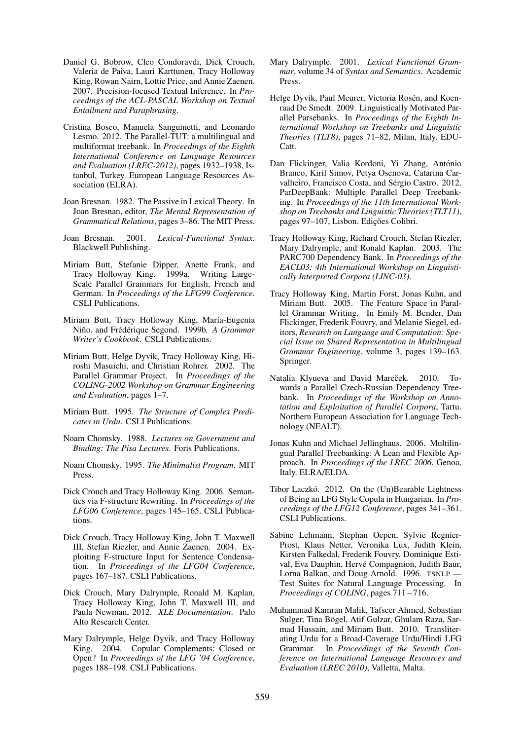- Daniel G. Bobrow, Cleo Condoravdi, Dick Crouch, Valeria de Paiva, Lauri Karttunen, Tracy Holloway King, Rowan Nairn, Lottie Price, and Annie Zaenen. 2007. Precision-focused Textual Inference. In *Proceedings of the ACL-PASCAL Workshop on Textual Entailment and Paraphrasing*.
- Cristina Bosco, Manuela Sanguinetti, and Leonardo Lesmo. 2012. The Parallel-TUT: a multilingual and multiformat treebank. In *Proceedings of the Eighth International Conference on Language Resources and Evaluation (LREC-2012)*, pages 1932–1938, Istanbul, Turkey. European Language Resources Association (ELRA).
- Joan Bresnan. 1982. The Passive in Lexical Theory. In Joan Bresnan, editor, *The Mental Representation of Grammatical Relations*, pages 3–86. The MIT Press.
- Joan Bresnan. 2001. *Lexical-Functional Syntax*. Blackwell Publishing.
- Miriam Butt, Stefanie Dipper, Anette Frank, and Tracy Holloway King. 1999a. Writing Large-Scale Parallel Grammars for English, French and German. In *Proceedings of the LFG99 Conference*. CSLI Publications.
- Miriam Butt, Tracy Holloway King, María-Eugenia Niño, and Frédérique Segond. 1999b. A Grammar *Writer's Cookbook*. CSLI Publications.
- Miriam Butt, Helge Dyvik, Tracy Holloway King, Hiroshi Masuichi, and Christian Rohrer. 2002. The Parallel Grammar Project. In *Proceedings of the COLING-2002 Workshop on Grammar Engineering and Evaluation*, pages 1–7.
- Miriam Butt. 1995. *The Structure of Complex Predicates in Urdu*. CSLI Publications.
- Noam Chomsky. 1988. *Lectures on Government and Binding: The Pisa Lectures*. Foris Publications.
- Noam Chomsky. 1995. *The Minimalist Program*. MIT Press.
- Dick Crouch and Tracy Holloway King. 2006. Semantics via F-structure Rewriting. In *Proceedings of the LFG06 Conference*, pages 145–165. CSLI Publications.
- Dick Crouch, Tracy Holloway King, John T. Maxwell III, Stefan Riezler, and Annie Zaenen. 2004. Exploiting F-structure Input for Sentence Condensation. In *Proceedings of the LFG04 Conference*, pages 167–187. CSLI Publications.
- Dick Crouch, Mary Dalrymple, Ronald M. Kaplan, Tracy Holloway King, John T. Maxwell III, and Paula Newman, 2012. *XLE Documentation*. Palo Alto Research Center.
- Mary Dalrymple, Helge Dyvik, and Tracy Holloway King. 2004. Copular Complements: Closed or Open? In *Proceedings of the LFG '04 Conference*, pages 188–198. CSLI Publications.
- Mary Dalrymple. 2001. *Lexical Functional Grammar*, volume 34 of *Syntax and Semantics*. Academic Press.
- Helge Dyvik, Paul Meurer, Victoria Rosén, and Koenraad De Smedt. 2009. Linguistically Motivated Parallel Parsebanks. In *Proceedings of the Eighth International Workshop on Treebanks and Linguistic Theories (TLT8)*, pages 71–82, Milan, Italy. EDU-Catt.
- Dan Flickinger, Valia Kordoni, Yi Zhang, António Branco, Kiril Simov, Petya Osenova, Catarina Carvalheiro, Francisco Costa, and Sérgio Castro. 2012. ParDeepBank: Multiple Parallel Deep Treebanking. In *Proceedings of the 11th International Workshop on Treebanks and Linguistic Theories (TLT11)*, pages 97–107, Lisbon. Edições Colibri.
- Tracy Holloway King, Richard Crouch, Stefan Riezler, Mary Dalrymple, and Ronald Kaplan. 2003. The PARC700 Dependency Bank. In *Proceedings of the EACL03: 4th International Workshop on Linguistically Interpreted Corpora (LINC-03)*.
- Tracy Holloway King, Martin Forst, Jonas Kuhn, and Miriam Butt. 2005. The Feature Space in Parallel Grammar Writing. In Emily M. Bender, Dan Flickinger, Frederik Fouvry, and Melanie Siegel, editors, *Research on Language and Computation: Special Issue on Shared Representation in Multilingual Grammar Engineering*, volume 3, pages 139–163. Springer.
- Natalia Klyueva and David Mareček. 2010. Towards a Parallel Czech-Russian Dependency Treebank. In *Proceedings of the Workshop on Annotation and Exploitation of Parallel Corpora*, Tartu. Northern European Association for Language Technology (NEALT).
- Jonas Kuhn and Michael Jellinghaus. 2006. Multilingual Parallel Treebanking: A Lean and Flexible Approach. In *Proceedings of the LREC 2006*, Genoa, Italy. ELRA/ELDA.
- Tibor Laczkó. 2012. On the (Un)Bearable Lightness of Being an LFG Style Copula in Hungarian. In *Proceedings of the LFG12 Conference*, pages 341–361. CSLI Publications.
- Sabine Lehmann, Stephan Oepen, Sylvie Regnier-Prost, Klaus Netter, Veronika Lux, Judith Klein, Kirsten Falkedal, Frederik Fouvry, Dominique Estival, Eva Dauphin, Hervé Compagnion, Judith Baur, Lorna Balkan, and Doug Arnold. 1996. TSNLP — Test Suites for Natural Language Processing. In *Proceedings of COLING*, pages 711 – 716.
- Muhammad Kamran Malik, Tafseer Ahmed, Sebastian Sulger, Tina Bögel, Atif Gulzar, Ghulam Raza, Sarmad Hussain, and Miriam Butt. 2010. Transliterating Urdu for a Broad-Coverage Urdu/Hindi LFG Grammar. In *Proceedings of the Seventh Conference on International Language Resources and Evaluation (LREC 2010)*, Valletta, Malta.